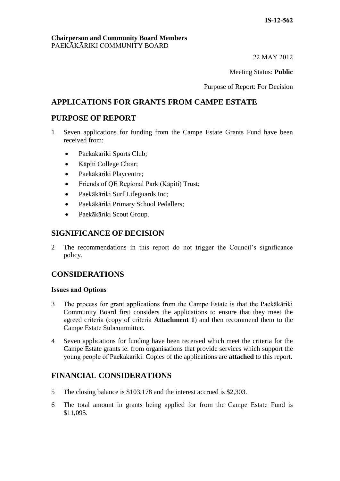22 MAY 2012

Meeting Status: **Public**

Purpose of Report: For Decision

### **APPLICATIONS FOR GRANTS FROM CAMPE ESTATE**

### **PURPOSE OF REPORT**

- 1 Seven applications for funding from the Campe Estate Grants Fund have been received from:
	- Paekākāriki Sports Club;
	- Kāpiti College Choir;
	- Paekākāriki Playcentre;
	- Friends of QE Regional Park (Kāpiti) Trust;
	- Paekākāriki Surf Lifeguards Inc;
	- Paekākāriki Primary School Pedallers;
	- Paekākāriki Scout Group.

### **SIGNIFICANCE OF DECISION**

2 The recommendations in this report do not trigger the Council's significance policy.

## **CONSIDERATIONS**

#### **Issues and Options**

- 3 The process for grant applications from the Campe Estate is that the Paekākāriki Community Board first considers the applications to ensure that they meet the agreed criteria (copy of criteria **Attachment 1**) and then recommend them to the Campe Estate Subcommittee.
- 4 Seven applications for funding have been received which meet the criteria for the Campe Estate grants ie. from organisations that provide services which support the young people of Paekākāriki. Copies of the applications are **attached** to this report.

### **FINANCIAL CONSIDERATIONS**

- 5 The closing balance is \$103,178 and the interest accrued is \$2,303.
- 6 The total amount in grants being applied for from the Campe Estate Fund is \$11,095.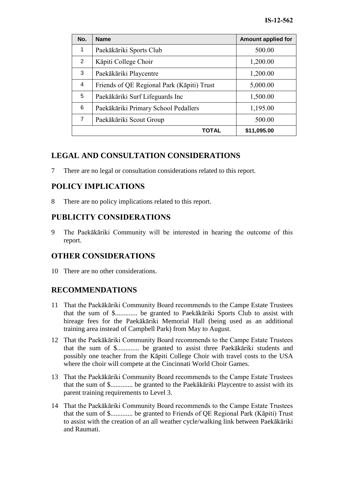| No.            | <b>Name</b>                                | <b>Amount applied for</b> |
|----------------|--------------------------------------------|---------------------------|
| 1              | Paekākāriki Sports Club                    | 500.00                    |
| $\overline{2}$ | Kāpiti College Choir                       | 1,200.00                  |
| 3              | Paekākāriki Playcentre                     | 1,200.00                  |
| 4              | Friends of QE Regional Park (Kāpiti) Trust | 5,000.00                  |
| 5              | Paekākāriki Surf Lifeguards Inc            | 1,500.00                  |
| 6              | Paekākāriki Primary School Pedallers       | 1,195.00                  |
| $\overline{7}$ | Paekākāriki Scout Group                    | 500.00                    |
| TOTAL          |                                            | \$11,095.00               |

# **LEGAL AND CONSULTATION CONSIDERATIONS**

7 There are no legal or consultation considerations related to this report.

# **POLICY IMPLICATIONS**

8 There are no policy implications related to this report.

## **PUBLICITY CONSIDERATIONS**

9 The Paekākāriki Community will be interested in hearing the outcome of this report.

# **OTHER CONSIDERATIONS**

10 There are no other considerations.

# **RECOMMENDATIONS**

- 11 That the Paekākāriki Community Board recommends to the Campe Estate Trustees that the sum of \$............. be granted to Paekākāriki Sports Club to assist with hireage fees for the Paekākāriki Memorial Hall (being used as an additional training area instead of Campbell Park) from May to August.
- 12 That the Paekākāriki Community Board recommends to the Campe Estate Trustees that the sum of \$............. be granted to assist three Paekākāriki students and possibly one teacher from the Kāpiti College Choir with travel costs to the USA where the choir will compete at the Cincinnati World Choir Games.
- 13 That the Paekākāriki Community Board recommends to the Campe Estate Trustees that the sum of \$............. be granted to the Paekākāriki Playcentre to assist with its parent training requirements to Level 3.
- 14 That the Paekākāriki Community Board recommends to the Campe Estate Trustees that the sum of \$............. be granted to Friends of QE Regional Park (Kāpiti) Trust to assist with the creation of an all weather cycle/walking link between Paekākāriki and Raumati.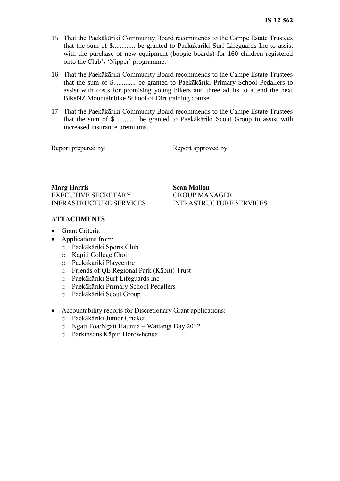- 15 That the Paekākāriki Community Board recommends to the Campe Estate Trustees that the sum of \$............. be granted to Paekākāriki Surf Lifeguards Inc to assist with the purchase of new equipment (boogie boards) for 160 children registered onto the Club's 'Nipper' programme.
- 16 That the Paekākāriki Community Board recommends to the Campe Estate Trustees that the sum of \$............. be granted to Paekākāriki Primary School Pedallers to assist with costs for promising young bikers and three adults to attend the next BikeNZ Mountainbike School of Dirt training course.
- 17 That the Paekākāriki Community Board recommends to the Campe Estate Trustees that the sum of \$............. be granted to Paekākāriki Scout Group to assist with increased insurance premiums.

Report prepared by: Report approved by:

**Marg Harris Sean Mallon** EXECUTIVE SECRETARY INFRASTRUCTURE SERVICES

#### **ATTACHMENTS**

- Grant Criteria
- Applications from:
	- o Paekākāriki Sports Club
	- o Kāpiti College Choir
	- o Paekākāriki Playcentre
	- o Friends of QE Regional Park (Kāpiti) Trust
	- o Paekākāriki Surf Lifeguards Inc
	- o Paekākāriki Primary School Pedallers
	- o Paekākāriki Scout Group
- Accountability reports for Discretionary Grant applications:
	- o Paekākāriki Junior Cricket
	- o Ngati Toa/Ngati Haumia Waitangi Day 2012
	- o Parkinsons Kāpiti Horowhenua

GROUP MANAGER INFRASTRUCTURE SERVICES